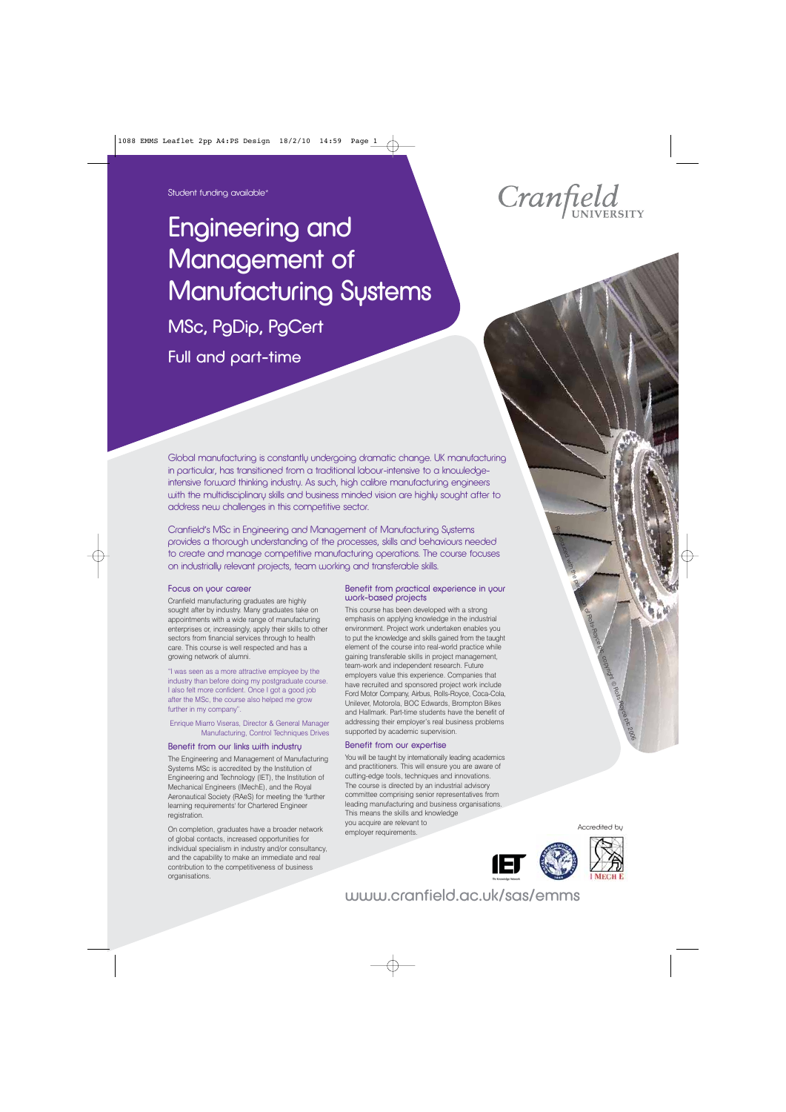# Engineering and Management of Manufacturing Systems

MSc, PgDip, PgCert

Full and part-time



Cranfield's MSc in Engineering and Management of Manufacturing Systems provides a thorough understanding of the processes, skills and behaviours needed to create and manage competitive manufacturing operations. The course focuses on industrially relevant projects, team working and transferable skills.

## Focus on your career

Cranfield manufacturing graduates are highly sought after by industry. Many graduates take on appointments with a wide range of manufacturing enterprises or, increasingly, apply their skills to other sectors from financial services through to health care. This course is well respected and has a growing network of alumni.

"I was seen as a more attractive employee by the industry than before doing my postgraduate course. I also felt more confident. Once I got a good job after the MSc, the course also helped me grow further in my company".

## Enrique Miarro Viseras, Director & General Manager Manufacturing, Control Techniques Drives

## Benefit from our links with industry

The Engineering and Management of Manufacturing Systems MSc is accredited by the Institution of Engineering and Technology (IET), the Institution of Mechanical Engineers (IMechE), and the Royal Aeronautical Society (RAeS) for meeting the 'further learning requirements' for Chartered Engineer registration.

On completion, graduates have a broader network of global contacts, increased opportunities for individual specialism in industry and/or consultancy, and the capability to make an immediate and real contribution to the competitiveness of business organisations.

## Benefit from practical experience in your work-based projects

This course has been developed with a strong emphasis on applying knowledge in the industrial environment. Project work undertaken enables you to put the knowledge and skills gained from the taught element of the course into real-world practice while gaining transferable skills in project management, team-work and independent research. Future employers value this experience. Companies that have recruited and sponsored project work include Ford Motor Company, Airbus, Rolls-Royce, Coca-Cola, Unilever, Motorola, BOC Edwards, Brompton Bikes and Hallmark. Part-time students have the benefit of addressing their employer's real business problems supported by academic supervision.

## Benefit from our expertise

You will be taught by internationally leading academics and practitioners. This will ensure you are aware of cutting-edge tools, techniques and innovations. The course is directed by an industrial advisory committee comprising senior representatives from leading manufacturing and business organisations. This means the skills and knowledge you acquire are relevant to employer requirements.



Accredited by

Reproduced with the permission of Representation of Rolls-Royce planet Royce planet Copyright © Rolls-Royce planet Copyright © Royce planet Copyright © Rolls-Royce planet Copyright © Royce planet Copyright © Royce planet C





## www.cranfield.ac.uk/sas/emms